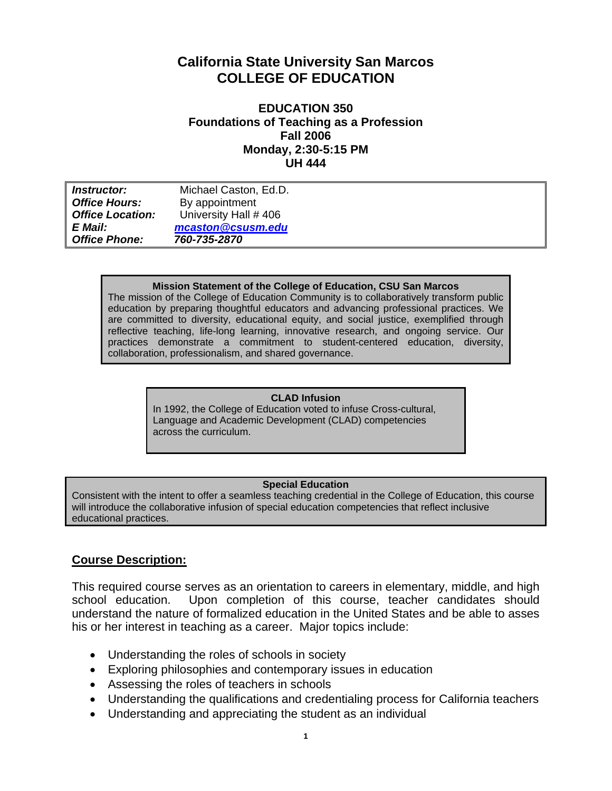# **California State University San Marcos COLLEGE OF EDUCATION**

### **EDUCATION 350 Foundations of Teaching as a Profession Fall 2006 Monday, 2:30-5:15 PM UH 444**

| <i>Instructor:</i>      | Michael Caston, Ed.D. |
|-------------------------|-----------------------|
| <b>Office Hours:</b>    | By appointment        |
| <b>Office Location:</b> | University Hall #406  |
| E Mail:                 | mcaston@csusm.edu     |
| <b>Office Phone:</b>    | 760-735-2870          |

#### **Mission Statement of the College of Education, CSU San Marcos**

The mission of the College of Education Community is to collaboratively transform public education by preparing thoughtful educators and advancing professional practices. We are committed to diversity, educational equity, and social justice, exemplified through reflective teaching, life-long learning, innovative research, and ongoing service. Our practices demonstrate a commitment to student-centered education, diversity, collaboration, professionalism, and shared governance.

#### **CLAD Infusion**

In 1992, the College of Education voted to infuse Cross-cultural, Language and Academic Development (CLAD) competencies across the curriculum.

#### **Special Education**

Consistent with the intent to offer a seamless teaching credential in the College of Education, this course will introduce the collaborative infusion of special education competencies that reflect inclusive educational practices.

### **Course Description:**

This required course serves as an orientation to careers in elementary, middle, and high school education. Upon completion of this course, teacher candidates should understand the nature of formalized education in the United States and be able to asses his or her interest in teaching as a career. Major topics include:

- Understanding the roles of schools in society
- Exploring philosophies and contemporary issues in education
- Assessing the roles of teachers in schools
- Understanding the qualifications and credentialing process for California teachers
- Understanding and appreciating the student as an individual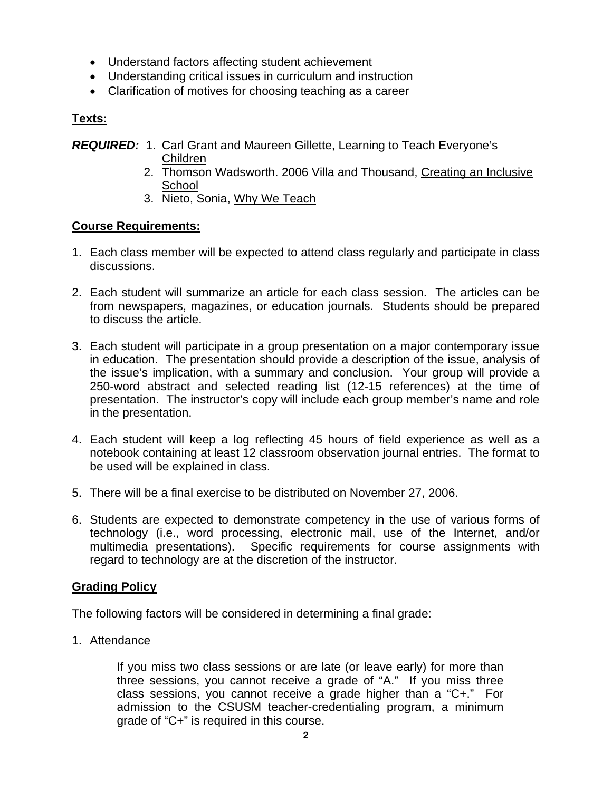- Understand factors affecting student achievement
- Understanding critical issues in curriculum and instruction
- Clarification of motives for choosing teaching as a career

# **Texts:**

*REQUIRED:* 1. Carl Grant and Maureen Gillette, Learning to Teach Everyone's

- Children
- 2. Thomson Wadsworth. 2006 Villa and Thousand, Creating an Inclusive **School**
- 3. Nieto, Sonia, Why We Teach

# **Course Requirements:**

- 1. Each class member will be expected to attend class regularly and participate in class discussions.
- 2. Each student will summarize an article for each class session. The articles can be from newspapers, magazines, or education journals. Students should be prepared to discuss the article.
- 3. Each student will participate in a group presentation on a major contemporary issue in education. The presentation should provide a description of the issue, analysis of the issue's implication, with a summary and conclusion. Your group will provide a 250-word abstract and selected reading list (12-15 references) at the time of presentation. The instructor's copy will include each group member's name and role in the presentation.
- 4. Each student will keep a log reflecting 45 hours of field experience as well as a notebook containing at least 12 classroom observation journal entries. The format to be used will be explained in class.
- 5. There will be a final exercise to be distributed on November 27, 2006.
- 6. Students are expected to demonstrate competency in the use of various forms of technology (i.e., word processing, electronic mail, use of the Internet, and/or multimedia presentations). Specific requirements for course assignments with regard to technology are at the discretion of the instructor.

# **Grading Policy**

The following factors will be considered in determining a final grade:

1. Attendance

If you miss two class sessions or are late (or leave early) for more than three sessions, you cannot receive a grade of "A." If you miss three class sessions, you cannot receive a grade higher than a "C+." For admission to the CSUSM teacher-credentialing program, a minimum grade of "C+" is required in this course.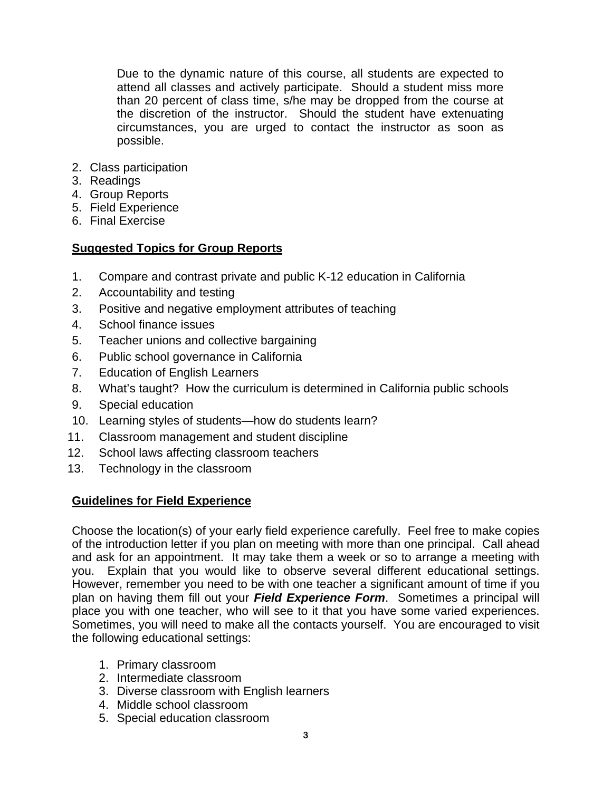Due to the dynamic nature of this course, all students are expected to attend all classes and actively participate. Should a student miss more than 20 percent of class time, s/he may be dropped from the course at the discretion of the instructor. Should the student have extenuating circumstances, you are urged to contact the instructor as soon as possible.

- 2. Class participation
- 3. Readings
- 4. Group Reports
- 5. Field Experience
- 6. Final Exercise

## **Suggested Topics for Group Reports**

- 1. Compare and contrast private and public K-12 education in California
- 2. Accountability and testing
- 3. Positive and negative employment attributes of teaching
- 4. School finance issues
- 5. Teacher unions and collective bargaining
- 6. Public school governance in California
- 7. Education of English Learners
- 8. What's taught? How the curriculum is determined in California public schools
- 9. Special education
- 10. Learning styles of students—how do students learn?
- 11. Classroom management and student discipline
- 12. School laws affecting classroom teachers
- 13. Technology in the classroom

### **Guidelines for Field Experience**

Choose the location(s) of your early field experience carefully. Feel free to make copies of the introduction letter if you plan on meeting with more than one principal. Call ahead and ask for an appointment. It may take them a week or so to arrange a meeting with you. Explain that you would like to observe several different educational settings. However, remember you need to be with one teacher a significant amount of time if you plan on having them fill out your *Field Experience Form*. Sometimes a principal will place you with one teacher, who will see to it that you have some varied experiences. Sometimes, you will need to make all the contacts yourself. You are encouraged to visit the following educational settings:

- 1. Primary classroom
- 2. Intermediate classroom
- 3. Diverse classroom with English learners
- 4. Middle school classroom
- 5. Special education classroom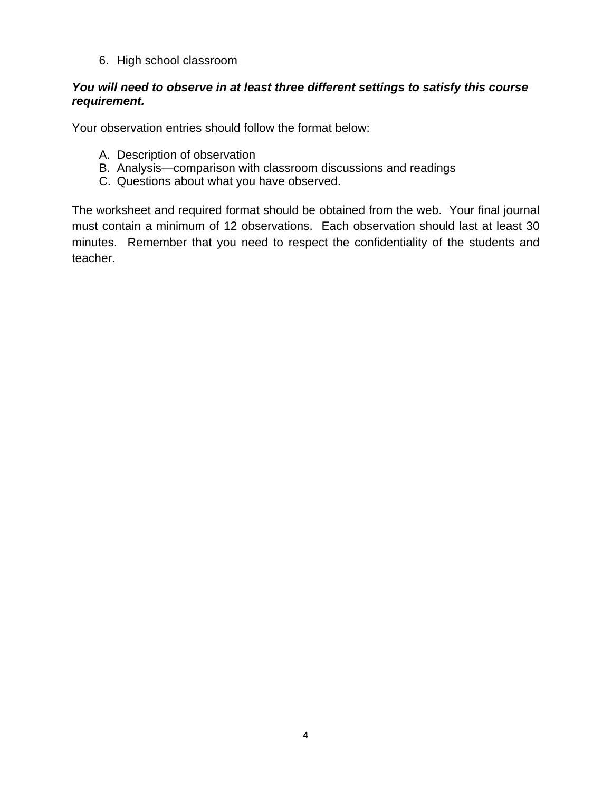6. High school classroom

## *You will need to observe in at least three different settings to satisfy this course requirement.*

Your observation entries should follow the format below:

- A. Description of observation
- B. Analysis—comparison with classroom discussions and readings
- C. Questions about what you have observed.

The worksheet and required format should be obtained from the web. Your final journal must contain a minimum of 12 observations. Each observation should last at least 30 minutes. Remember that you need to respect the confidentiality of the students and teacher.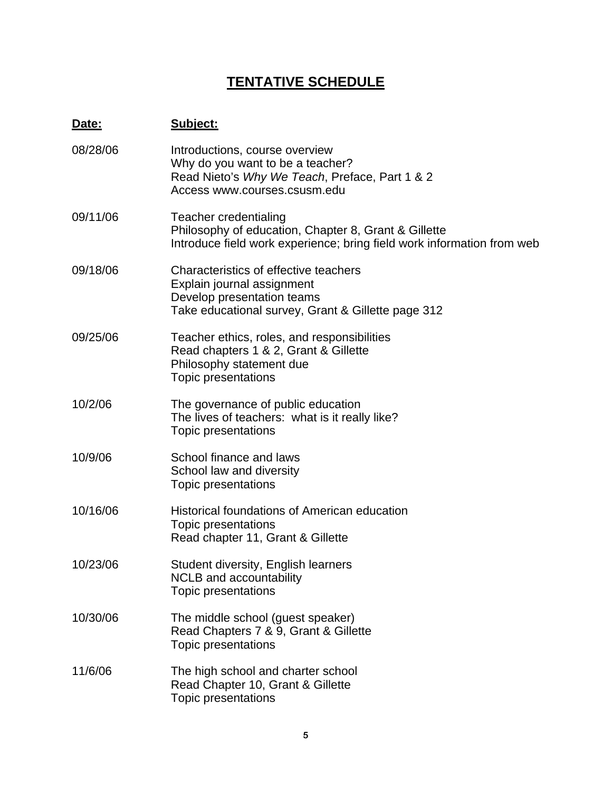# **TENTATIVE SCHEDULE**

# **Date: Subject:**

| 08/28/06 | Introductions, course overview<br>Why do you want to be a teacher?<br>Read Nieto's Why We Teach, Preface, Part 1 & 2<br>Access www.courses.csusm.edu           |
|----------|----------------------------------------------------------------------------------------------------------------------------------------------------------------|
| 09/11/06 | <b>Teacher credentialing</b><br>Philosophy of education, Chapter 8, Grant & Gillette<br>Introduce field work experience; bring field work information from web |
| 09/18/06 | Characteristics of effective teachers<br>Explain journal assignment<br>Develop presentation teams<br>Take educational survey, Grant & Gillette page 312        |
| 09/25/06 | Teacher ethics, roles, and responsibilities<br>Read chapters 1 & 2, Grant & Gillette<br>Philosophy statement due<br>Topic presentations                        |
| 10/2/06  | The governance of public education<br>The lives of teachers: what is it really like?<br>Topic presentations                                                    |
| 10/9/06  | School finance and laws<br>School law and diversity<br>Topic presentations                                                                                     |
| 10/16/06 | <b>Historical foundations of American education</b><br>Topic presentations<br>Read chapter 11, Grant & Gillette                                                |
| 10/23/06 | Student diversity, English learners<br><b>NCLB</b> and accountability<br>Topic presentations                                                                   |
| 10/30/06 | The middle school (guest speaker)<br>Read Chapters 7 & 9, Grant & Gillette<br>Topic presentations                                                              |
| 11/6/06  | The high school and charter school<br>Read Chapter 10, Grant & Gillette<br><b>Topic presentations</b>                                                          |